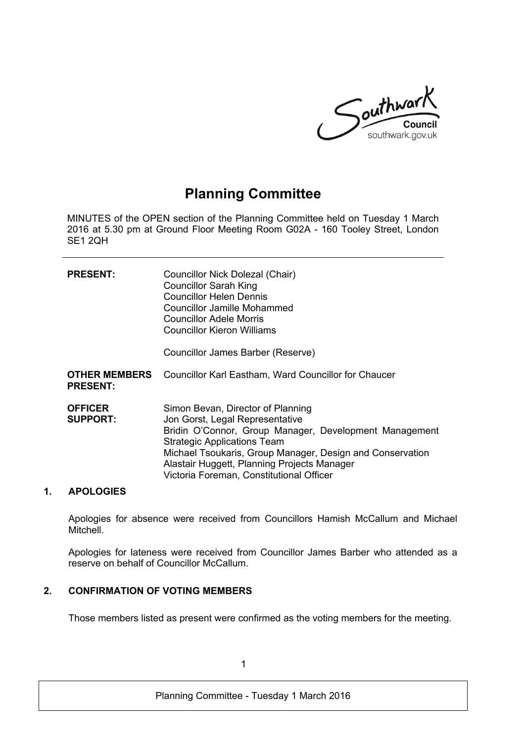

# **Planning Committee**

MINUTES of the OPEN section of the Planning Committee held on Tuesday 1 March 2016 at 5.30 pm at Ground Floor Meeting Room G02A - 160 Tooley Street, London SE1 2QH

| <b>PRESENT:</b>                         | Councillor Nick Dolezal (Chair)<br><b>Councillor Sarah King</b><br><b>Councillor Helen Dennis</b><br>Councillor Jamille Mohammed<br><b>Councillor Adele Morris</b><br>Councillor Kieron Williams<br>Councillor James Barber (Reserve)                                                                                        |
|-----------------------------------------|------------------------------------------------------------------------------------------------------------------------------------------------------------------------------------------------------------------------------------------------------------------------------------------------------------------------------|
| <b>OTHER MEMBERS</b><br><b>PRESENT:</b> | <b>Councillor Karl Eastham, Ward Councillor for Chaucer</b>                                                                                                                                                                                                                                                                  |
| <b>OFFICER</b><br><b>SUPPORT:</b>       | Simon Bevan, Director of Planning<br>Jon Gorst, Legal Representative<br>Bridin O'Connor, Group Manager, Development Management<br><b>Strategic Applications Team</b><br>Michael Tsoukaris, Group Manager, Design and Conservation<br>Alastair Huggett, Planning Projects Manager<br>Victoria Foreman, Constitutional Officer |

# **1. APOLOGIES**

Apologies for absence were received from Councillors Hamish McCallum and Michael **Mitchell** 

Apologies for lateness were received from Councillor James Barber who attended as a reserve on behalf of Councillor McCallum.

# **2. CONFIRMATION OF VOTING MEMBERS**

Those members listed as present were confirmed as the voting members for the meeting.

1

Planning Committee - Tuesday 1 March 2016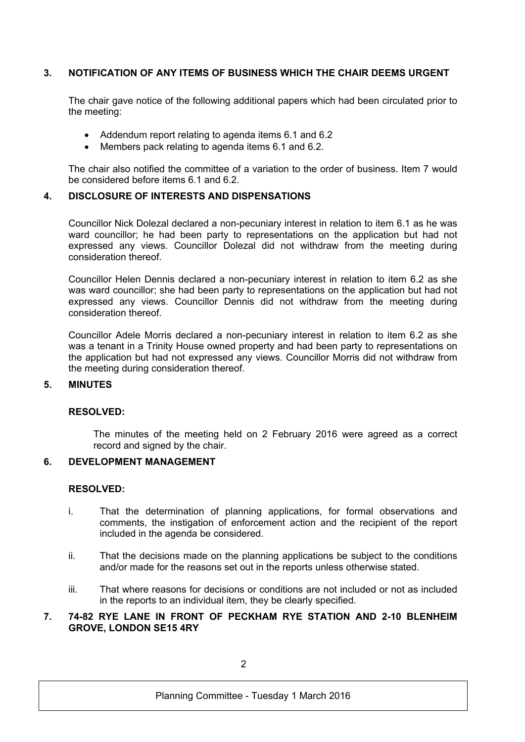# **3. NOTIFICATION OF ANY ITEMS OF BUSINESS WHICH THE CHAIR DEEMS URGENT**

The chair gave notice of the following additional papers which had been circulated prior to the meeting:

- Addendum report relating to agenda items 6.1 and 6.2
- Members pack relating to agenda items 6.1 and 6.2.

The chair also notified the committee of a variation to the order of business. Item 7 would be considered before items 6.1 and 6.2.

## **4. DISCLOSURE OF INTERESTS AND DISPENSATIONS**

Councillor Nick Dolezal declared a non-pecuniary interest in relation to item 6.1 as he was ward councillor; he had been party to representations on the application but had not expressed any views. Councillor Dolezal did not withdraw from the meeting during consideration thereof.

Councillor Helen Dennis declared a non-pecuniary interest in relation to item 6.2 as she was ward councillor; she had been party to representations on the application but had not expressed any views. Councillor Dennis did not withdraw from the meeting during consideration thereof.

Councillor Adele Morris declared a non-pecuniary interest in relation to item 6.2 as she was a tenant in a Trinity House owned property and had been party to representations on the application but had not expressed any views. Councillor Morris did not withdraw from the meeting during consideration thereof.

#### **5. MINUTES**

#### **RESOLVED:**

The minutes of the meeting held on 2 February 2016 were agreed as a correct record and signed by the chair.

# **6. DEVELOPMENT MANAGEMENT**

### **RESOLVED:**

- i. That the determination of planning applications, for formal observations and comments, the instigation of enforcement action and the recipient of the report included in the agenda be considered.
- ii. That the decisions made on the planning applications be subject to the conditions and/or made for the reasons set out in the reports unless otherwise stated.
- iii. That where reasons for decisions or conditions are not included or not as included in the reports to an individual item, they be clearly specified.

## **7. 74-82 RYE LANE IN FRONT OF PECKHAM RYE STATION AND 2-10 BLENHEIM GROVE, LONDON SE15 4RY**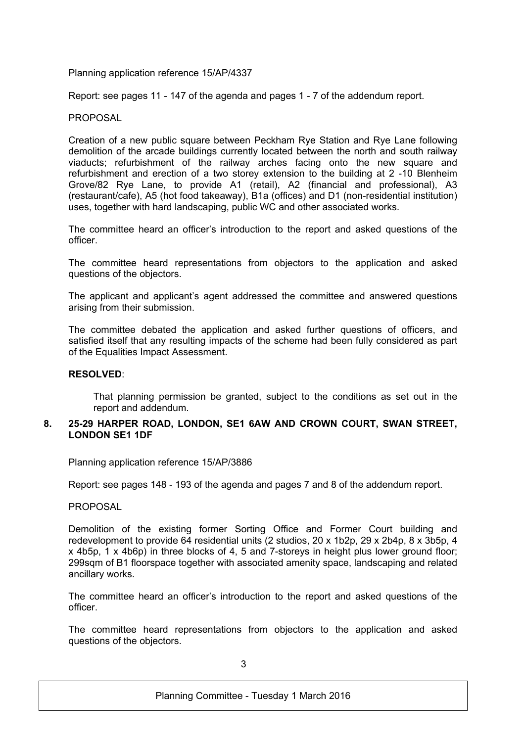Planning application reference 15/AP/4337

Report: see pages 11 - 147 of the agenda and pages 1 - 7 of the addendum report.

### **PROPOSAL**

Creation of a new public square between Peckham Rye Station and Rye Lane following demolition of the arcade buildings currently located between the north and south railway viaducts; refurbishment of the railway arches facing onto the new square and refurbishment and erection of a two storey extension to the building at 2 -10 Blenheim Grove/82 Rye Lane, to provide A1 (retail), A2 (financial and professional), A3 (restaurant/cafe), A5 (hot food takeaway), B1a (offices) and D1 (non-residential institution) uses, together with hard landscaping, public WC and other associated works.

The committee heard an officer's introduction to the report and asked questions of the officer.

The committee heard representations from objectors to the application and asked questions of the objectors.

The applicant and applicant's agent addressed the committee and answered questions arising from their submission.

The committee debated the application and asked further questions of officers, and satisfied itself that any resulting impacts of the scheme had been fully considered as part of the Equalities Impact Assessment.

#### **RESOLVED**:

That planning permission be granted, subject to the conditions as set out in the report and addendum.

### **8. 25-29 HARPER ROAD, LONDON, SE1 6AW AND CROWN COURT, SWAN STREET, LONDON SE1 1DF**

Planning application reference 15/AP/3886

Report: see pages 148 - 193 of the agenda and pages 7 and 8 of the addendum report.

PROPOSAL

Demolition of the existing former Sorting Office and Former Court building and redevelopment to provide 64 residential units (2 studios, 20 x 1b2p, 29 x 2b4p, 8 x 3b5p, 4 x 4b5p, 1 x 4b6p) in three blocks of 4, 5 and 7-storeys in height plus lower ground floor; 299sqm of B1 floorspace together with associated amenity space, landscaping and related ancillary works.

The committee heard an officer's introduction to the report and asked questions of the officer.

The committee heard representations from objectors to the application and asked questions of the objectors.